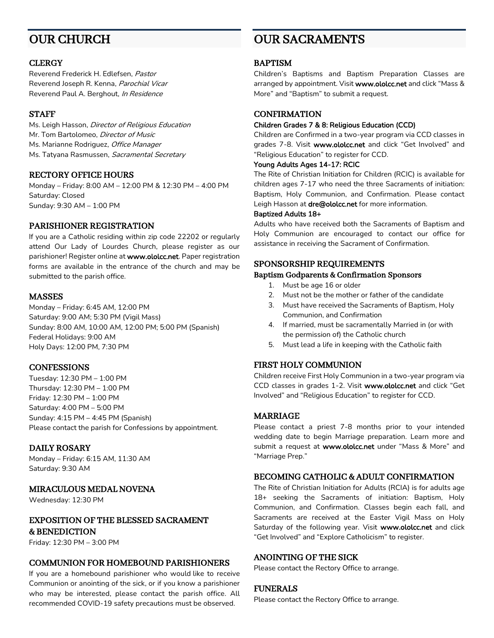# OUR CHURCH

#### **CLERGY**

Reverend Frederick H. Edlefsen, Pastor Reverend Joseph R. Kenna, Parochial Vicar Reverend Paul A. Berghout, In Residence

### **STAFF**

Ms. Leigh Hasson, Director of Religious Education Mr. Tom Bartolomeo, *Director of Music* Ms. Marianne Rodriguez, Office Manager Ms. Tatyana Rasmussen, Sacramental Secretary

### RECTORY OFFICE HOURS

Monday – Friday: 8:00 AM – 12:00 PM & 12:30 PM – 4:00 PM Saturday: Closed Sunday: 9:30 AM – 1:00 PM

### PARISHIONER REGISTRATION

If you are a Catholic residing within zip code 22202 or regularly attend Our Lady of Lourdes Church, please register as our parishioner! Register online at www.ololcc.net. Paper registration forms are available in the entrance of the church and may be submitted to the parish office.

### MASSES

Monday – Friday: 6:45 AM, 12:00 PM Saturday: 9:00 AM; 5:30 PM (Vigil Mass) Sunday: 8:00 AM, 10:00 AM, 12:00 PM; 5:00 PM (Spanish) Federal Holidays: 9:00 AM Holy Days: 12:00 PM, 7:30 PM

### **CONFESSIONS**

Tuesday: 12:30 PM – 1:00 PM Thursday: 12:30 PM – 1:00 PM Friday: 12:30 PM – 1:00 PM Saturday: 4:00 PM – 5:00 PM Sunday: 4:15 PM – 4:45 PM (Spanish) Please contact the parish for Confessions by appointment.

## DAILY ROSARY

Monday – Friday: 6:15 AM, 11:30 AM Saturday: 9:30 AM

## MIRACULOUS MEDAL NOVENA

Wednesday: 12:30 PM

### EXPOSITION OF THE BLESSED SACRAMENT & BENEDICTION

Friday: 12:30 PM – 3:00 PM

## COMMUNION FOR HOMEBOUND PARISHIONERS

If you are a homebound parishioner who would like to receive Communion or anointing of the sick, or if you know a parishioner who may be interested, please contact the parish office. All recommended COVID-19 safety precautions must be observed.

# OUR SACRAMENTS

### BAPTISM

Children's Baptisms and Baptism Preparation Classes are arranged by appointment. Visit www.ololcc.net and click "Mass & More" and "Baptism" to submit a request.

### **CONFIRMATION**

#### Children Grades 7 & 8: Religious Education (CCD)

Children are Confirmed in a two-year program via CCD classes in grades 7-8. Visit www.ololcc.net and click "Get Involved" and "Religious Education" to register for CCD.

#### Young Adults Ages 14-17: RCIC

The Rite of Christian Initiation for Children (RCIC) is available for children ages 7-17 who need the three Sacraments of initiation: Baptism, Holy Communion, and Confirmation. Please contact Leigh Hasson at dre@ololcc.net for more information.

#### Baptized Adults 18+

Adults who have received both the Sacraments of Baptism and Holy Communion are encouraged to contact our office for assistance in receiving the Sacrament of Confirmation.

### SPONSORSHIP REQUIREMENTS

#### Baptism Godparents & Confirmation Sponsors

- 1. Must be age 16 or older
- 2. Must not be the mother or father of the candidate
- 3. Must have received the Sacraments of Baptism, Holy Communion, and Confirmation
- 4. If married, must be sacramentally Married in (or with the permission of) the Catholic church
- 5. Must lead a life in keeping with the Catholic faith

### FIRST HOLY COMMUNION

Children receive First Holy Communion in a two-year program via CCD classes in grades 1-2. Visit www.ololcc.net and click "Get Involved" and "Religious Education" to register for CCD.

### MARRIAGE

Please contact a priest 7-8 months prior to your intended wedding date to begin Marriage preparation. Learn more and submit a request at www.ololcc.net under "Mass & More" and "Marriage Prep."

### BECOMING CATHOLIC & ADULT CONFIRMATION

The Rite of Christian Initiation for Adults (RCIA) is for adults age 18+ seeking the Sacraments of initiation: Baptism, Holy Communion, and Confirmation. Classes begin each fall, and Sacraments are received at the Easter Vigil Mass on Holy Saturday of the following year. Visit www.ololcc.net and click "Get Involved" and "Explore Catholicism" to register.

### ANOINTING OF THE SICK

Please contact the Rectory Office to arrange.

### FUNERALS

Please contact the Rectory Office to arrange.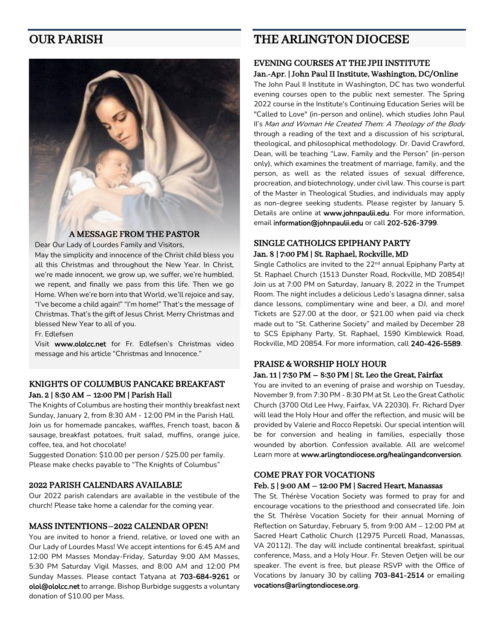# OUR PARISH



### A MESSAGE FROM THE PASTOR

Dear Our Lady of Lourdes Family and Visitors,

May the simplicity and innocence of the Christ child bless you all this Christmas and throughout the New Year. In Christ, we're made innocent, we grow up, we suffer, we're humbled, we repent, and finally we pass from this life. Then we go Home. When we're born into that World, we'll rejoice and say, "I've become a child again!" "I'm home!" That's the message of Christmas. That's the gift of Jesus Christ. Merry Christmas and blessed New Year to all of you.

Fr. Edlefsen

Visit www.ololcc.net for Fr. Edlefsen's Christmas video message and his article "Christmas and Innocence."

### KNIGHTS OF COLUMBUS PANCAKE BREAKFAST Jan. 2 | 8:30 AM – 12:00 PM | Parish Hall

The Knights of Columbus are hosting their monthly breakfast next Sunday, January 2, from 8:30 AM - 12:00 PM in the Parish Hall. Join us for homemade pancakes, waffles, French toast, bacon & sausage, breakfast potatoes, fruit salad, muffins, orange juice, coffee, tea, and hot chocolate!

Suggested Donation: \$10.00 per person / \$25.00 per family. Please make checks payable to "The Knights of Columbus"

#### 2022 PARISH CALENDARS AVAILABLE

Our 2022 parish calendars are available in the vestibule of the church! Please take home a calendar for the coming year.

#### MASS INTENTIONS–2022 CALENDAR OPEN!

You are invited to honor a friend, relative, or loved one with an Our Lady of Lourdes Mass! We accept intentions for 6:45 AM and 12:00 PM Masses Monday-Friday, Saturday 9:00 AM Masses, 5:30 PM Saturday Vigil Masses, and 8:00 AM and 12:00 PM Sunday Masses. Please contact Tatyana at 703-684-9261 or olol@ololcc.net to arrange. Bishop Burbidge suggests a voluntary donation of \$10.00 per Mass.

# THE ARLINGTON DIOCESE

#### EVENING COURSES AT THE JPII INSTITUTE Jan.-Apr. | John Paul II Institute, Washington, DC/Online

The John Paul II Institute in Washington, DC has two wonderful evening courses open to the public next semester. The Spring 2022 course in the Institute's Continuing Education Series will be "Called to Love" (in-person and online), which studies John Paul II's Man and Woman He Created Them: A Theology of the Body through a reading of the text and a discussion of his scriptural, theological, and philosophical methodology. Dr. David Crawford, Dean, will be teaching "Law, Family and the Person" (in-person only), which examines the treatment of marriage, family, and the person, as well as the related issues of sexual difference, procreation, and biotechnology, under civil law. This course is part of the Master in Theological Studies, and individuals may apply as non-degree seeking students. Please register by January 5. Details are online at www.johnpaulii.edu. For more information, email information@johnpaulii.edu or call 202-526-3799.

### SINGLE CATHOLICS EPIPHANY PARTY Jan. 8 | 7:00 PM | St. Raphael, Rockville, MD

Single Catholics are invited to the 22<sup>nd</sup> annual Epiphany Party at St. Raphael Church (1513 Dunster Road, Rockville, MD 20854)! Join us at 7:00 PM on Saturday, January 8, 2022 in the Trumpet Room. The night includes a delicious Ledo's lasagna dinner, salsa dance lessons, complimentary wine and beer, a DJ, and more! Tickets are \$27.00 at the door, or \$21.00 when paid via check made out to "St. Catherine Society" and mailed by December 28 to SCS Epiphany Party, St. Raphael, 1590 Kimblewick Road, Rockville, MD 20854. For more information, call 240-426-5589.

### PRAISE & WORSHIP HOLY HOUR Jan. 11 | 7:30 PM – 8:30 PM | St. Leo the Great, Fairfax

You are invited to an evening of praise and worship on Tuesday, November 9, from 7:30 PM - 8:30 PM at St. Leo the Great Catholic Church (3700 Old Lee Hwy, Fairfax, VA 22030). Fr. Richard Dyer will lead the Holy Hour and offer the reflection, and music will be provided by Valerie and Rocco Repetski. Our special intention will be for conversion and healing in families, especially those wounded by abortion. Confession available. All are welcome! Learn more at www.arlingtondiocese.org/healingandconversion.

### COME PRAY FOR VOCATIONS

#### Feb. 5 | 9:00 AM – 12:00 PM | Sacred Heart, Manassas

The St. Thérèse Vocation Society was formed to pray for and encourage vocations to the priesthood and consecrated life. Join the St. Thérèse Vocation Society for their annual Morning of Reflection on Saturday, February 5, from 9:00 AM – 12:00 PM at Sacred Heart Catholic Church (12975 Purcell Road, Manassas, VA 20112). The day will include continental breakfast, spiritual conference, Mass, and a Holy Hour. Fr. Steven Oetjen will be our speaker. The event is free, but please RSVP with the Office of Vocations by January 30 by calling 703-841-2514 or emailing vocations@arlingtondiocese.org.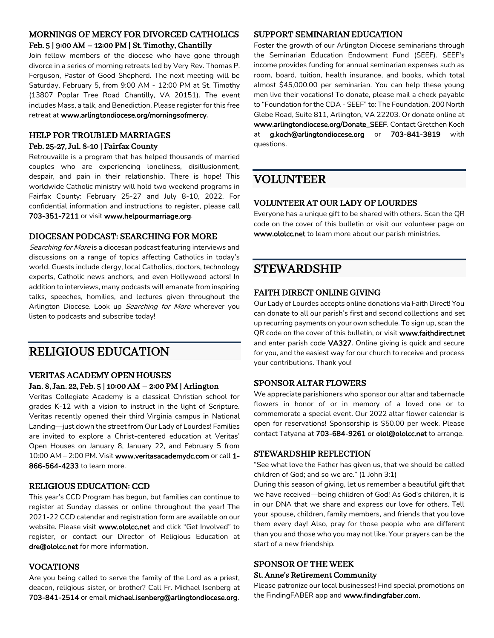## MORNINGS OF MERCY FOR DIVORCED CATHOLICS Feb. 5 | 9:00 AM – 12:00 PM | St. Timothy, Chantilly

Join fellow members of the diocese who have gone through divorce in a series of morning retreats led by Very Rev. Thomas P. Ferguson, Pastor of Good Shepherd. The next meeting will be Saturday, February 5, from 9:00 AM - 12:00 PM at St. Timothy (13807 Poplar Tree Road Chantilly, VA 20151). The event includes Mass, a talk, and Benediction. Please register for this free retreat at www.arlingtondiocese.org/morningsofmercy.

## HELP FOR TROUBLED MARRIAGES Feb. 25-27, Jul. 8-10 | Fairfax County

Retrouvaille is a program that has helped thousands of married couples who are experiencing loneliness, disillusionment, despair, and pain in their relationship. There is hope! This worldwide Catholic ministry will hold two weekend programs in Fairfax County: February 25-27 and July 8-10, 2022. For confidential information and instructions to register, please call 703-351-7211 or visit www.helpourmarriage.org.

### DIOCESAN PODCAST: SEARCHING FOR MORE

Searching for More is a diocesan podcast featuring interviews and discussions on a range of topics affecting Catholics in today's world. Guests include clergy, local Catholics, doctors, technology experts, Catholic news anchors, and even Hollywood actors! In addition to interviews, many podcasts will emanate from inspiring talks, speeches, homilies, and lectures given throughout the Arlington Diocese. Look up Searching for More wherever you listen to podcasts and subscribe today!

# RELIGIOUS EDUCATION

### VERITAS ACADEMY OPEN HOUSES Jan. 8, Jan. 22, Feb. 5 | 10:00 AM – 2:00 PM | Arlington

Veritas Collegiate Academy is a classical Christian school for grades K-12 with a vision to instruct in the light of Scripture. Veritas recently opened their third Virginia campus in National Landing—just down the street from Our Lady of Lourdes! Families are invited to explore a Christ-centered education at Veritas' Open Houses on January 8, January 22, and February 5 from 10:00 AM - 2:00 PM. Visit www.veritasacademydc.com or call 1-866-564-4233 to learn more.

### RELIGIOUS EDUCATION: CCD

This year's CCD Program has begun, but families can continue to register at Sunday classes or online throughout the year! The 2021-22 CCD calendar and registration form are available on our website. Please visit www.ololcc.net and click "Get Involved" to register, or contact our Director of Religious Education at dre@ololcc.net for more information.

### VOCATIONS

Are you being called to serve the family of the Lord as a priest, deacon, religious sister, or brother? Call Fr. Michael Isenberg at 703-841-2514 or email michael.isenberg@arlingtondiocese.org.

#### SUPPORT SEMINARIAN EDUCATION

Foster the growth of our Arlington Diocese seminarians through the Seminarian Education Endowment Fund (SEEF). SEEF's income provides funding for annual seminarian expenses such as room, board, tuition, health insurance, and books, which total almost \$45,000.00 per seminarian. You can help these young men live their vocations! To donate, please mail a check payable to "Foundation for the CDA - SEEF" to: The Foundation, 200 North Glebe Road, Suite 811, Arlington, VA 22203. Or donate online at www.arlingtondiocese.org/Donate\_SEEF. Contact Gretchen Koch at g.koch@arlingtondiocese.org or 703-841-3819 with questions.

# VOLUNTEER

### VOLUNTEER AT OUR LADY OF LOURDES

Everyone has a unique gift to be shared with others. Scan the QR code on the cover of this bulletin or visit our volunteer page on www.ololcc.net to learn more about our parish ministries.

# STEWARDSHIP

## FAITH DIRECT ONLINE GIVING

Our Lady of Lourdes accepts online donations via Faith Direct! You can donate to all our parish's first and second collections and set up recurring payments on your own schedule. To sign up, scan the QR code on the cover of this bulletin, or visit www.faithdirect.net and enter parish code VA327. Online giving is quick and secure for you, and the easiest way for our church to receive and process your contributions. Thank you!

### SPONSOR ALTAR FLOWERS

We appreciate parishioners who sponsor our altar and tabernacle flowers in honor of or in memory of a loved one or to commemorate a special event. Our 2022 altar flower calendar is open for reservations! Sponsorship is \$50.00 per week. Please contact Tatyana at 703-684-9261 or olol@ololcc.net to arrange.

### STEWARDSHIP REFLECTION

"See what love the Father has given us, that we should be called children of God; and so we are." (1 John 3:1)

During this season of giving, let us remember a beautiful gift that we have received—being children of God! As God's children, it is in our DNA that we share and express our love for others. Tell your spouse, children, family members, and friends that you love them every day! Also, pray for those people who are different than you and those who you may not like. Your prayers can be the start of a new friendship.

## SPONSOR OF THE WEEK

### St. Anne's Retirement Community

Please patronize our local businesses! Find special promotions on the FindingFABER app and www.findingfaber.com.